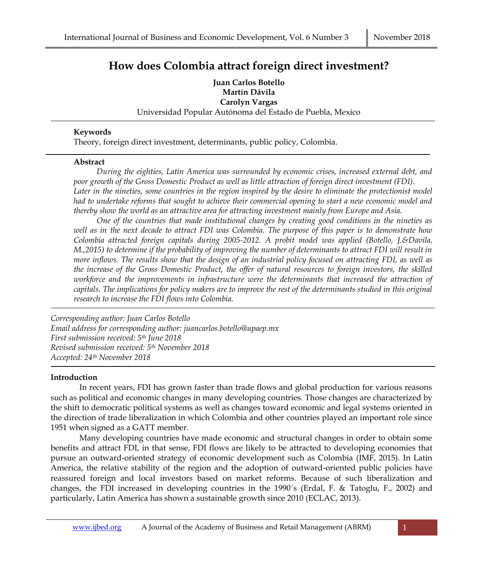## **How does Colombia attract foreign direct investment?**

**Juan Carlos Botello Martín Dávila Carolyn Vargas** Universidad Popular Autónoma del Estado de Puebla, Mexico

#### **Keywords**

Theory, foreign direct investment, determinants, public policy, Colombia.

#### **Abstract**

*During the eighties, Latin America was surrounded by economic crises, increased external debt, and poor growth of the Gross Domestic Product as well as little attraction of foreign direct investment (FDI).* Later in the nineties, some countries in the region inspired by the desire to eliminate the protectionist model *had to undertake reforms that sought to achieve their commercial opening to start a new economic model and thereby show the world as an attractive area for attracting investment mainly from Europe and Asia.*

*One of the countries that made institutional changes by creating good conditions in the nineties as well as in the next decade to attract FDI was Colombia. The purpose of this paper is to demonstrate how Colombia attracted foreign capitals during 2005-2012. A probit model was applied (Botello, J.&Davila, M.,2015) to determine if the probability of improving the number of determinants to attract FDI will result in more inflows. The results show that the design of an industrial policy focused on attracting FDI, as well as the increase of the Gross Domestic Product, the offer of natural resources to foreign investors, the skilled workforce and the improvements in infrastructure were the determinants that increased the attraction of capitals. The implications for policy makers are to improve the rest of the determinants studied in this original research to increase the FDI flows into Colombia.*

*Corresponding author: Juan Carlos Botello Email address for corresponding author: juancarlos.botello@upaep.mx First submission received: 5 th June 2018 Revised submission received: 5 th November 2018 Accepted: 24th November 2018*

### **Introduction**

In recent years, FDI has grown faster than trade flows and global production for various reasons such as political and economic changes in many developing countries. Those changes are characterized by the shift to democratic political systems as well as changes toward economic and legal systems oriented in the direction of trade liberalization in which Colombia and other countries played an important role since 1951 when signed as a GATT member.

Many developing countries have made economic and structural changes in order to obtain some benefits and attract FDI, in that sense, FDI flows are likely to be attracted to developing economies that pursue an outward-oriented strategy of economic development such as Colombia (IMF, 2015). In Latin America, the relative stability of the region and the adoption of outward-oriented public policies have reassured foreign and local investors based on market reforms. Because of such liberalization and changes, the FDI increased in developing countries in the 1990´s (Erdal, F. & Tatoglu, F., 2002) and particularly, Latin America has shown a sustainable growth since 2010 (ECLAC, 2013).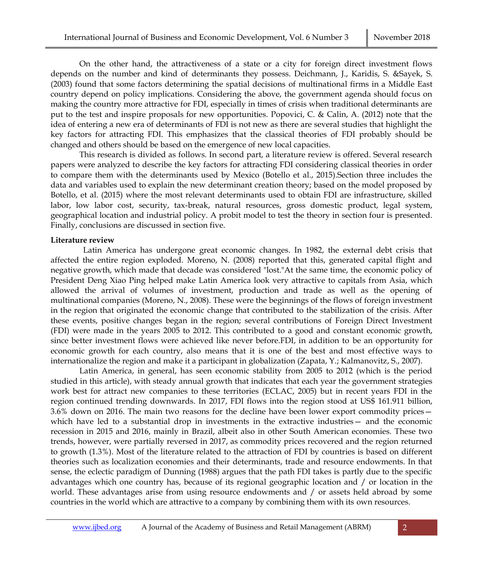On the other hand, the attractiveness of a state or a city for foreign direct investment flows depends on the number and kind of determinants they possess. Deichmann, J., Karidis, S. &Sayek, S. (2003) found that some factors determining the spatial decisions of multinational firms in a Middle East country depend on policy implications. Considering the above, the government agenda should focus on making the country more attractive for FDI, especially in times of crisis when traditional determinants are put to the test and inspire proposals for new opportunities. Popovici, C. & Calin, A. (2012) note that the idea of entering a new era of determinants of FDI is not new as there are several studies that highlight the key factors for attracting FDI. This emphasizes that the classical theories of FDI probably should be changed and others should be based on the emergence of new local capacities.

This research is divided as follows. In second part, a literature review is offered. Several research papers were analyzed to describe the key factors for attracting FDI considering classical theories in order to compare them with the determinants used by Mexico (Botello et al., 2015).Section three includes the data and variables used to explain the new determinant creation theory; based on the model proposed by Botello, et al. (2015) where the most relevant determinants used to obtain FDI are infrastructure, skilled labor, low labor cost, security, tax-break, natural resources, gross domestic product, legal system, geographical location and industrial policy. A probit model to test the theory in section four is presented. Finally, conclusions are discussed in section five.

#### **Literature review**

 Latin America has undergone great economic changes. In 1982, the external debt crisis that affected the entire region exploded. Moreno, N. (2008) reported that this, generated capital flight and negative growth, which made that decade was considered "lost."At the same time, the economic policy of President Deng Xiao Ping helped make Latin America look very attractive to capitals from Asia, which allowed the arrival of volumes of investment, production and trade as well as the opening of multinational companies (Moreno, N., 2008). These were the beginnings of the flows of foreign investment in the region that originated the economic change that contributed to the stabilization of the crisis. After these events, positive changes began in the region; several contributions of Foreign Direct Investment (FDI) were made in the years 2005 to 2012. This contributed to a good and constant economic growth, since better investment flows were achieved like never before.FDI, in addition to be an opportunity for economic growth for each country, also means that it is one of the best and most effective ways to internationalize the region and make it a participant in globalization (Zapata, Y.; Kalmanovitz, S., 2007).

Latin America, in general, has seen economic stability from 2005 to 2012 (which is the period studied in this article), with steady annual growth that indicates that each year the government strategies work best for attract new companies to these territories (ECLAC, 2005) but in recent years FDI in the region continued trending downwards. In 2017, FDI flows into the region stood at US\$ 161.911 billion, 3.6% down on 2016. The main two reasons for the decline have been lower export commodity prices which have led to a substantial drop in investments in the extractive industries — and the economic recession in 2015 and 2016, mainly in Brazil, albeit also in other South American economies. These two trends, however, were partially reversed in 2017, as commodity prices recovered and the region returned to growth (1.3%). Most of the literature related to the attraction of FDI by countries is based on different theories such as localization economies and their determinants, trade and resource endowments. In that sense, the eclectic paradigm of Dunning (1988) argues that the path FDI takes is partly due to the specific advantages which one country has, because of its regional geographic location and / or location in the world. These advantages arise from using resource endowments and / or assets held abroad by some countries in the world which are attractive to a company by combining them with its own resources.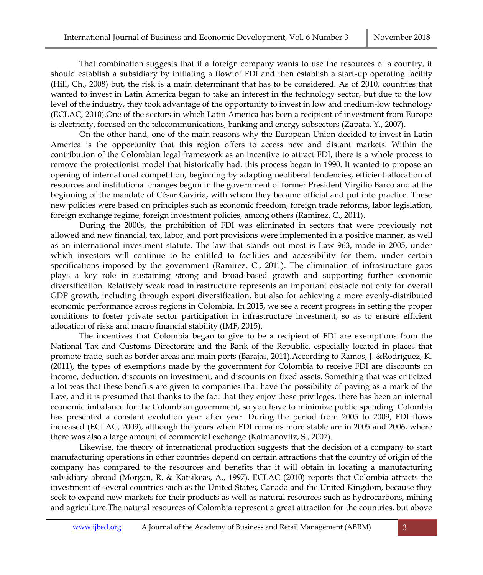That combination suggests that if a foreign company wants to use the resources of a country, it should establish a subsidiary by initiating a flow of FDI and then establish a start-up operating facility (Hill, Ch., 2008) but, the risk is a main determinant that has to be considered. As of 2010, countries that wanted to invest in Latin America began to take an interest in the technology sector, but due to the low level of the industry, they took advantage of the opportunity to invest in low and medium-low technology (ECLAC, 2010).One of the sectors in which Latin America has been a recipient of investment from Europe is electricity, focused on the telecommunications, banking and energy subsectors (Zapata, Y., 2007).

On the other hand, one of the main reasons why the European Union decided to invest in Latin America is the opportunity that this region offers to access new and distant markets. Within the contribution of the Colombian legal framework as an incentive to attract FDI, there is a whole process to remove the protectionist model that historically had, this process began in 1990. It wanted to propose an opening of international competition, beginning by adapting neoliberal tendencies, efficient allocation of resources and institutional changes begun in the government of former President Virgilio Barco and at the beginning of the mandate of César Gaviria, with whom they became official and put into practice. These new policies were based on principles such as economic freedom, foreign trade reforms, labor legislation, foreign exchange regime, foreign investment policies, among others (Ramirez, C., 2011).

During the 2000s, the prohibition of FDI was eliminated in sectors that were previously not allowed and new financial, tax, labor, and port provisions were implemented in a positive manner, as well as an international investment statute. The law that stands out most is Law 963, made in 2005, under which investors will continue to be entitled to facilities and accessibility for them, under certain specifications imposed by the government (Ramirez, C., 2011). The elimination of infrastructure gaps plays a key role in sustaining strong and broad-based growth and supporting further economic diversification. Relatively weak road infrastructure represents an important obstacle not only for overall GDP growth, including through export diversification, but also for achieving a more evenly-distributed economic performance across regions in Colombia. In 2015, we see a recent progress in setting the proper conditions to foster private sector participation in infrastructure investment, so as to ensure efficient allocation of risks and macro financial stability (IMF, 2015).

The incentives that Colombia began to give to be a recipient of FDI are exemptions from the National Tax and Customs Directorate and the Bank of the Republic, especially located in places that promote trade, such as border areas and main ports (Barajas, 2011).According to Ramos, J. &Rodríguez, K. (2011), the types of exemptions made by the government for Colombia to receive FDI are discounts on income, deduction, discounts on investment, and discounts on fixed assets. Something that was criticized a lot was that these benefits are given to companies that have the possibility of paying as a mark of the Law, and it is presumed that thanks to the fact that they enjoy these privileges, there has been an internal economic imbalance for the Colombian government, so you have to minimize public spending. Colombia has presented a constant evolution year after year. During the period from 2005 to 2009, FDI flows increased (ECLAC, 2009), although the years when FDI remains more stable are in 2005 and 2006, where there was also a large amount of commercial exchange (Kalmanovitz, S., 2007).

Likewise, the theory of international production suggests that the decision of a company to start manufacturing operations in other countries depend on certain attractions that the country of origin of the company has compared to the resources and benefits that it will obtain in locating a manufacturing subsidiary abroad (Morgan, R. & Katsikeas, A., 1997). ECLAC (2010) reports that Colombia attracts the investment of several countries such as the United States, Canada and the United Kingdom, because they seek to expand new markets for their products as well as natural resources such as hydrocarbons, mining and agriculture.The natural resources of Colombia represent a great attraction for the countries, but above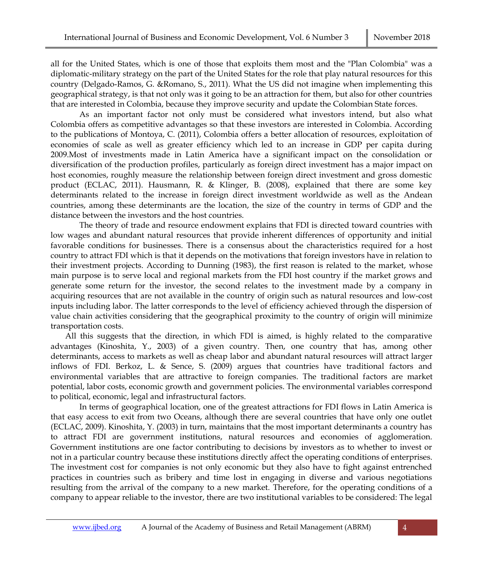all for the United States, which is one of those that exploits them most and the "Plan Colombia" was a diplomatic-military strategy on the part of the United States for the role that play natural resources for this country (Delgado-Ramos, G. &Romano, S., 2011). What the US did not imagine when implementing this geographical strategy, is that not only was it going to be an attraction for them, but also for other countries that are interested in Colombia, because they improve security and update the Colombian State forces.

As an important factor not only must be considered what investors intend, but also what Colombia offers as competitive advantages so that these investors are interested in Colombia. According to the publications of Montoya, C. (2011), Colombia offers a better allocation of resources, exploitation of economies of scale as well as greater efficiency which led to an increase in GDP per capita during 2009.Most of investments made in Latin America have a significant impact on the consolidation or diversification of the production profiles, particularly as foreign direct investment has a major impact on host economies, roughly measure the relationship between foreign direct investment and gross domestic product (ECLAC, 2011). Hausmann, R. & Klinger, B. (2008), explained that there are some key determinants related to the increase in foreign direct investment worldwide as well as the Andean countries, among these determinants are the location, the size of the country in terms of GDP and the distance between the investors and the host countries.

The theory of trade and resource endowment explains that FDI is directed toward countries with low wages and abundant natural resources that provide inherent differences of opportunity and initial favorable conditions for businesses. There is a consensus about the characteristics required for a host country to attract FDI which is that it depends on the motivations that foreign investors have in relation to their investment projects. According to Dunning (1983), the first reason is related to the market, whose main purpose is to serve local and regional markets from the FDI host country if the market grows and generate some return for the investor, the second relates to the investment made by a company in acquiring resources that are not available in the country of origin such as natural resources and low-cost inputs including labor. The latter corresponds to the level of efficiency achieved through the dispersion of value chain activities considering that the geographical proximity to the country of origin will minimize transportation costs.

All this suggests that the direction, in which FDI is aimed, is highly related to the comparative advantages (Kinoshita, Y., 2003) of a given country. Then, one country that has, among other determinants, access to markets as well as cheap labor and abundant natural resources will attract larger inflows of FDI. Berkoz, L. & Sence, S. (2009) argues that countries have traditional factors and environmental variables that are attractive to foreign companies. The traditional factors are market potential, labor costs, economic growth and government policies. The environmental variables correspond to political, economic, legal and infrastructural factors.

In terms of geographical location, one of the greatest attractions for FDI flows in Latin America is that easy access to exit from two Oceans, although there are several countries that have only one outlet (ECLAC, 2009). Kinoshita, Y. (2003) in turn, maintains that the most important determinants a country has to attract FDI are government institutions, natural resources and economies of agglomeration. Government institutions are one factor contributing to decisions by investors as to whether to invest or not in a particular country because these institutions directly affect the operating conditions of enterprises. The investment cost for companies is not only economic but they also have to fight against entrenched practices in countries such as bribery and time lost in engaging in diverse and various negotiations resulting from the arrival of the company to a new market. Therefore, for the operating conditions of a company to appear reliable to the investor, there are two institutional variables to be considered: The legal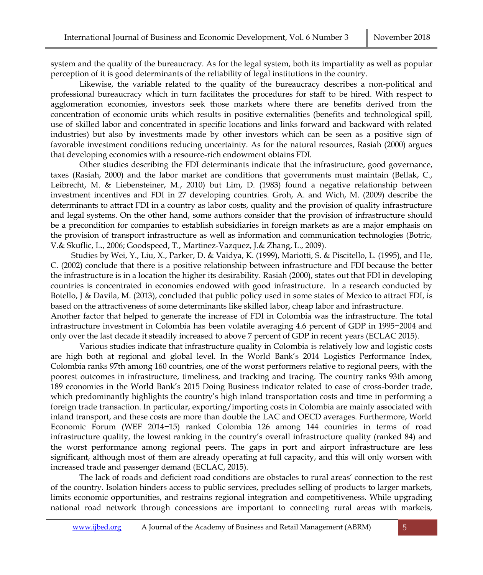system and the quality of the bureaucracy. As for the legal system, both its impartiality as well as popular perception of it is good determinants of the reliability of legal institutions in the country.

Likewise, the variable related to the quality of the bureaucracy describes a non-political and professional bureaucracy which in turn facilitates the procedures for staff to be hired. With respect to agglomeration economies, investors seek those markets where there are benefits derived from the concentration of economic units which results in positive externalities (benefits and technological spill, use of skilled labor and concentrated in specific locations and links forward and backward with related industries) but also by investments made by other investors which can be seen as a positive sign of favorable investment conditions reducing uncertainty. As for the natural resources, Rasiah (2000) argues that developing economies with a resource-rich endowment obtains FDI.

Other studies describing the FDI determinants indicate that the infrastructure, good governance, taxes (Rasiah, 2000) and the labor market are conditions that governments must maintain (Bellak, C., Leibrecht, M. & Liebensteiner, M., 2010) but Lim, D. (1983) found a negative relationship between investment incentives and FDI in 27 developing countries. Groh, A. and Wich, M. (2009) describe the determinants to attract FDI in a country as labor costs, quality and the provision of quality infrastructure and legal systems. On the other hand, some authors consider that the provision of infrastructure should be a precondition for companies to establish subsidiaries in foreign markets as are a major emphasis on the provision of transport infrastructure as well as information and communication technologies (Botric, V.& Skuflic, L., 2006; Goodspeed, T., Martinez-Vazquez, J.& Zhang, L., 2009).

 Studies by Wei, Y., Liu, X., Parker, D. & Vaidya, K. (1999), Mariotti, S. & Piscitello, L. (1995), and He, C. (2002) conclude that there is a positive relationship between infrastructure and FDI because the better the infrastructure is in a location the higher its desirability. Rasiah (2000), states out that FDI in developing countries is concentrated in economies endowed with good infrastructure. In a research conducted by Botello, J & Davila, M. (2013), concluded that public policy used in some states of Mexico to attract FDI, is based on the attractiveness of some determinants like skilled labor, cheap labor and infrastructure. Another factor that helped to generate the increase of FDI in Colombia was the infrastructure. The total infrastructure investment in Colombia has been volatile averaging 4.6 percent of GDP in 1995−2004 and only over the last decade it steadily increased to above 7 percent of GDP in recent years (ECLAC 2015).

 Various studies indicate that infrastructure quality in Colombia is relatively low and logistic costs are high both at regional and global level. In the World Bank's 2014 Logistics Performance Index, Colombia ranks 97th among 160 countries, one of the worst performers relative to regional peers, with the poorest outcomes in infrastructure, timeliness, and tracking and tracing. The country ranks 93th among 189 economies in the World Bank's 2015 Doing Business indicator related to ease of cross-border trade, which predominantly highlights the country's high inland transportation costs and time in performing a foreign trade transaction. In particular, exporting/importing costs in Colombia are mainly associated with inland transport, and these costs are more than double the LAC and OECD averages. Furthermore, World Economic Forum (WEF 2014−15) ranked Colombia 126 among 144 countries in terms of road infrastructure quality, the lowest ranking in the country's overall infrastructure quality (ranked 84) and the worst performance among regional peers. The gaps in port and airport infrastructure are less significant, although most of them are already operating at full capacity, and this will only worsen with increased trade and passenger demand (ECLAC, 2015).

The lack of roads and deficient road conditions are obstacles to rural areas' connection to the rest of the country. Isolation hinders access to public services, precludes selling of products to larger markets, limits economic opportunities, and restrains regional integration and competitiveness. While upgrading national road network through concessions are important to connecting rural areas with markets,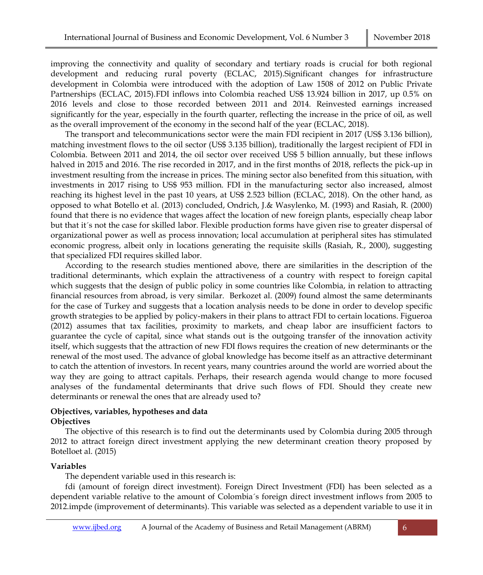improving the connectivity and quality of secondary and tertiary roads is crucial for both regional development and reducing rural poverty (ECLAC, 2015).Significant changes for infrastructure development in Colombia were introduced with the adoption of Law 1508 of 2012 on Public Private Partnerships (ECLAC, 2015).FDI inflows into Colombia reached US\$ 13.924 billion in 2017, up 0.5% on 2016 levels and close to those recorded between 2011 and 2014. Reinvested earnings increased significantly for the year, especially in the fourth quarter, reflecting the increase in the price of oil, as well as the overall improvement of the economy in the second half of the year (ECLAC, 2018).

The transport and telecommunications sector were the main FDI recipient in 2017 (US\$ 3.136 billion), matching investment flows to the oil sector (US\$ 3.135 billion), traditionally the largest recipient of FDI in Colombia. Between 2011 and 2014, the oil sector over received US\$ 5 billion annually, but these inflows halved in 2015 and 2016. The rise recorded in 2017, and in the first months of 2018, reflects the pick-up in investment resulting from the increase in prices. The mining sector also benefited from this situation, with investments in 2017 rising to US\$ 953 million. FDI in the manufacturing sector also increased, almost reaching its highest level in the past 10 years, at US\$ 2.523 billion (ECLAC, 2018). On the other hand, as opposed to what Botello et al. (2013) concluded, Ondrich, J.& Wasylenko, M. (1993) and Rasiah, R. (2000) found that there is no evidence that wages affect the location of new foreign plants, especially cheap labor but that it´s not the case for skilled labor. Flexible production forms have given rise to greater dispersal of organizational power as well as process innovation; local accumulation at peripheral sites has stimulated economic progress, albeit only in locations generating the requisite skills (Rasiah, R., 2000), suggesting that specialized FDI requires skilled labor.

According to the research studies mentioned above, there are similarities in the description of the traditional determinants, which explain the attractiveness of a country with respect to foreign capital which suggests that the design of public policy in some countries like Colombia, in relation to attracting financial resources from abroad, is very similar. Berkozet al. (2009) found almost the same determinants for the case of Turkey and suggests that a location analysis needs to be done in order to develop specific growth strategies to be applied by policy-makers in their plans to attract FDI to certain locations. Figueroa (2012) assumes that tax facilities, proximity to markets, and cheap labor are insufficient factors to guarantee the cycle of capital, since what stands out is the outgoing transfer of the innovation activity itself, which suggests that the attraction of new FDI flows requires the creation of new determinants or the renewal of the most used. The advance of global knowledge has become itself as an attractive determinant to catch the attention of investors. In recent years, many countries around the world are worried about the way they are going to attract capitals. Perhaps, their research agenda would change to more focused analyses of the fundamental determinants that drive such flows of FDI. Should they create new determinants or renewal the ones that are already used to?

#### **Objectives, variables, hypotheses and data Objectives**

The objective of this research is to find out the determinants used by Colombia during 2005 through 2012 to attract foreign direct investment applying the new determinant creation theory proposed by Botelloet al. (2015)

### **Variables**

The dependent variable used in this research is:

fdi (amount of foreign direct investment). Foreign Direct Investment (FDI) has been selected as a dependent variable relative to the amount of Colombia´s foreign direct investment inflows from 2005 to 2012.impde (improvement of determinants). This variable was selected as a dependent variable to use it in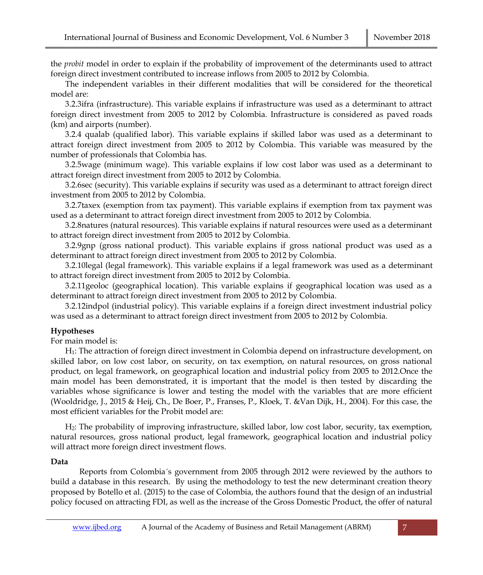the *probit* model in order to explain if the probability of improvement of the determinants used to attract foreign direct investment contributed to increase inflows from 2005 to 2012 by Colombia.

The independent variables in their different modalities that will be considered for the theoretical model are:

3.2.3ifra (infrastructure). This variable explains if infrastructure was used as a determinant to attract foreign direct investment from 2005 to 2012 by Colombia. Infrastructure is considered as paved roads (km) and airports (number).

3.2.4 qualab (qualified labor). This variable explains if skilled labor was used as a determinant to attract foreign direct investment from 2005 to 2012 by Colombia. This variable was measured by the number of professionals that Colombia has.

3.2.5wage (minimum wage). This variable explains if low cost labor was used as a determinant to attract foreign direct investment from 2005 to 2012 by Colombia.

3.2.6sec (security). This variable explains if security was used as a determinant to attract foreign direct investment from 2005 to 2012 by Colombia.

3.2.7taxex (exemption from tax payment). This variable explains if exemption from tax payment was used as a determinant to attract foreign direct investment from 2005 to 2012 by Colombia.

3.2.8natures (natural resources). This variable explains if natural resources were used as a determinant to attract foreign direct investment from 2005 to 2012 by Colombia.

3.2.9gnp (gross national product). This variable explains if gross national product was used as a determinant to attract foreign direct investment from 2005 to 2012 by Colombia.

3.2.10legal (legal framework). This variable explains if a legal framework was used as a determinant to attract foreign direct investment from 2005 to 2012 by Colombia.

3.2.11geoloc (geographical location). This variable explains if geographical location was used as a determinant to attract foreign direct investment from 2005 to 2012 by Colombia.

3.2.12indpol (industrial policy). This variable explains if a foreign direct investment industrial policy was used as a determinant to attract foreign direct investment from 2005 to 2012 by Colombia.

### **Hypotheses**

For main model is:

H1: The attraction of foreign direct investment in Colombia depend on infrastructure development, on skilled labor, on low cost labor, on security, on tax exemption, on natural resources, on gross national product, on legal framework, on geographical location and industrial policy from 2005 to 2012.Once the main model has been demonstrated, it is important that the model is then tested by discarding the variables whose significance is lower and testing the model with the variables that are more efficient (Wooldridge, J., 2015 & Heij, Ch., De Boer, P., Franses, P., Kloek, T. &Van Dijk, H., 2004). For this case, the most efficient variables for the Probit model are:

H2: The probability of improving infrastructure, skilled labor, low cost labor, security, tax exemption, natural resources, gross national product, legal framework, geographical location and industrial policy will attract more foreign direct investment flows.

### **Data**

Reports from Colombia´s government from 2005 through 2012 were reviewed by the authors to build a database in this research. By using the methodology to test the new determinant creation theory proposed by Botello et al. (2015) to the case of Colombia, the authors found that the design of an industrial policy focused on attracting FDI, as well as the increase of the Gross Domestic Product, the offer of natural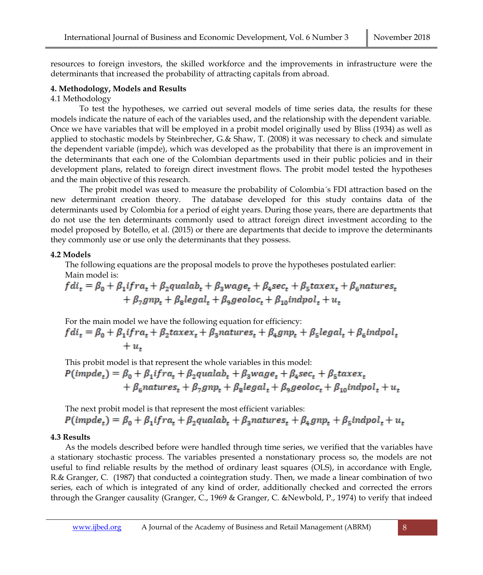resources to foreign investors, the skilled workforce and the improvements in infrastructure were the determinants that increased the probability of attracting capitals from abroad.

## **4. Methodology, Models and Results**

4.1 Methodology

To test the hypotheses, we carried out several models of time series data, the results for these models indicate the nature of each of the variables used, and the relationship with the dependent variable. Once we have variables that will be employed in a probit model originally used by Bliss (1934) as well as applied to stochastic models by Steinbrecher, G.& Shaw, T. (2008) it was necessary to check and simulate the dependent variable (impde), which was developed as the probability that there is an improvement in the determinants that each one of the Colombian departments used in their public policies and in their development plans, related to foreign direct investment flows. The probit model tested the hypotheses and the main objective of this research.

The probit model was used to measure the probability of Colombia´s FDI attraction based on the new determinant creation theory. The database developed for this study contains data of the determinants used by Colombia for a period of eight years. During those years, there are departments that do not use the ten determinants commonly used to attract foreign direct investment according to the model proposed by Botello, et al. (2015) or there are departments that decide to improve the determinants they commonly use or use only the determinants that they possess.

## **4.2 Models**

The following equations are the proposal models to prove the hypotheses postulated earlier: Main model is:

 $fdi_t = \beta_0 + \beta_1$ ifra, +  $\beta_2$ qualab, +  $\beta_3$ wage, +  $\beta_4$ sec, +  $\beta_5$ taxex, +  $\beta_6$ natures,  $+\beta_7 g n p_r + \beta_8 legal_r + \beta_9 geoloc_r + \beta_{10} indpol_r + u_r$ 

For the main model we have the following equation for efficiency:

 $fdi_t = \beta_0 + \beta_1 if ra_t + \beta_2 taxex_t + \beta_3 natures_t + \beta_4 gnp_t + \beta_5 legal_t + \beta_6 indpol_t$  $+u$ .

This probit model is that represent the whole variables in this model:  $P(impde_t) = \beta_0 + \beta_1 if ra_t + \beta_2 qualab_t + \beta_3 wage_t + \beta_4 sec_t + \beta_5 taxes_t$  $+\beta_6$ natures,  $+\beta_7 g n p_t + \beta_8 legal_t + \beta_9 geoloc_t + \beta_{10} indpol_t + u_t$ 

The next probit model is that represent the most efficient variables:  $P(impde_t) = \beta_0 + \beta_1 if ra_t + \beta_2 qualab_t + \beta_3 natures_t + \beta_4 gnp_t + \beta_5 indpol_t + u_t$ 

## **4.3 Results**

As the models described before were handled through time series, we verified that the variables have a stationary stochastic process. The variables presented a nonstationary process so, the models are not useful to find reliable results by the method of ordinary least squares (OLS), in accordance with Engle, R.& Granger, C. (1987) that conducted a cointegration study. Then, we made a linear combination of two series, each of which is integrated of any kind of order, additionally checked and corrected the errors through the Granger causality (Granger, C., 1969 & Granger, C. &Newbold, P., 1974) to verify that indeed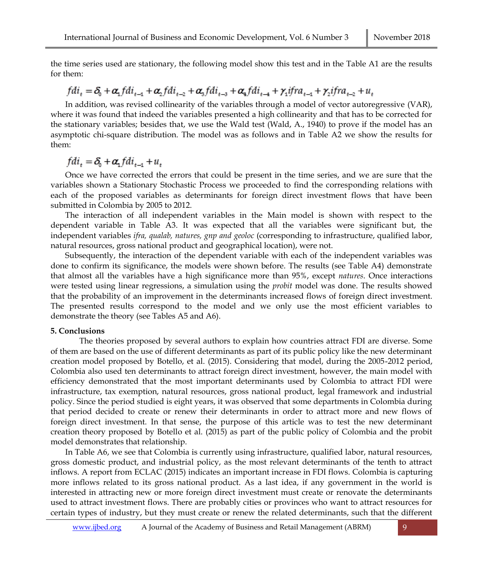the time series used are stationary, the following model show this test and in the Table A1 are the results for them:

# $fdi_t = \delta_0 + \alpha_1 fdi_{t-1} + \alpha_2 fdi_{t-2} + \alpha_3 fdi_{t-3} + \alpha_4 fdi_{t-4} + \gamma_1 ifra_{t-1} + \gamma_2 ifra_{t-2} + u_t$

In addition, was revised collinearity of the variables through a model of vector autoregressive (VAR), where it was found that indeed the variables presented a high collinearity and that has to be corrected for the stationary variables; besides that, we use the Wald test (Wald, A., 1940) to prove if the model has an asymptotic chi-square distribution. The model was as follows and in Table A2 we show the results for them:

$$
fdi_t = \delta_0 + \alpha_1 fdi_{t-1} + u_t
$$

Once we have corrected the errors that could be present in the time series, and we are sure that the variables shown a Stationary Stochastic Process we proceeded to find the corresponding relations with each of the proposed variables as determinants for foreign direct investment flows that have been submitted in Colombia by 2005 to 2012.

The interaction of all independent variables in the Main model is shown with respect to the dependent variable in Table A3. It was expected that all the variables were significant but, the independent variables *ifra, qualab, natures, gnp and geoloc* (corresponding to infrastructure, qualified labor, natural resources, gross national product and geographical location), were not.

Subsequently, the interaction of the dependent variable with each of the independent variables was done to confirm its significance, the models were shown before. The results (see Table A4) demonstrate that almost all the variables have a high significance more than 95%, except *natures*. Once interactions were tested using linear regressions, a simulation using the *probit* model was done. The results showed that the probability of an improvement in the determinants increased flows of foreign direct investment. The presented results correspond to the model and we only use the most efficient variables to demonstrate the theory (see Tables A5 and A6).

#### **5. Conclusions**

The theories proposed by several authors to explain how countries attract FDI are diverse. Some of them are based on the use of different determinants as part of its public policy like the new determinant creation model proposed by Botello, et al. (2015). Considering that model, during the 2005-2012 period, Colombia also used ten determinants to attract foreign direct investment, however, the main model with efficiency demonstrated that the most important determinants used by Colombia to attract FDI were infrastructure, tax exemption, natural resources, gross national product, legal framework and industrial policy. Since the period studied is eight years, it was observed that some departments in Colombia during that period decided to create or renew their determinants in order to attract more and new flows of foreign direct investment. In that sense, the purpose of this article was to test the new determinant creation theory proposed by Botello et al. (2015) as part of the public policy of Colombia and the probit model demonstrates that relationship.

In Table A6, we see that Colombia is currently using infrastructure, qualified labor, natural resources, gross domestic product, and industrial policy, as the most relevant determinants of the tenth to attract inflows. A report from ECLAC (2015) indicates an important increase in FDI flows. Colombia is capturing more inflows related to its gross national product. As a last idea, if any government in the world is interested in attracting new or more foreign direct investment must create or renovate the determinants used to attract investment flows. There are probably cities or provinces who want to attract resources for certain types of industry, but they must create or renew the related determinants, such that the different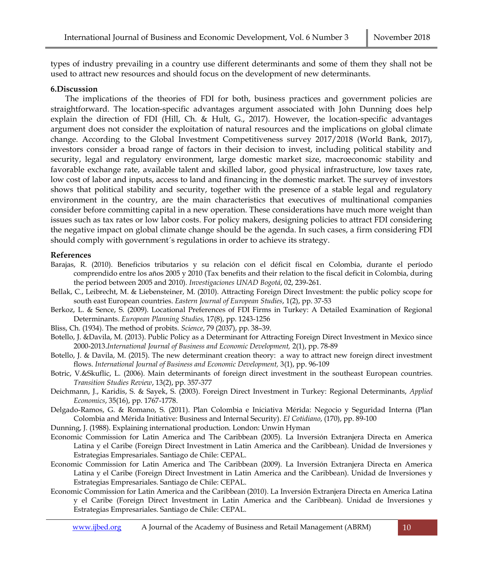types of industry prevailing in a country use different determinants and some of them they shall not be used to attract new resources and should focus on the development of new determinants.

## **6.Discussion**

The implications of the theories of FDI for both, business practices and government policies are straightforward. The location-specific advantages argument associated with John Dunning does help explain the direction of FDI (Hill, Ch. & Hult, G., 2017). However, the location-specific advantages argument does not consider the exploitation of natural resources and the implications on global climate change. According to the Global Investment Competitiveness survey 2017/2018 (World Bank, 2017), investors consider a broad range of factors in their decision to invest, including political stability and security, legal and regulatory environment, large domestic market size, macroeconomic stability and favorable exchange rate, available talent and skilled labor, good physical infrastructure, low taxes rate, low cost of labor and inputs, access to land and financing in the domestic market. The survey of investors shows that political stability and security, together with the presence of a stable legal and regulatory environment in the country, are the main characteristics that executives of multinational companies consider before committing capital in a new operation. These considerations have much more weight than issues such as tax rates or low labor costs. For policy makers, designing policies to attract FDI considering the negative impact on global climate change should be the agenda. In such cases, a firm considering FDI should comply with government´s regulations in order to achieve its strategy.

### **References**

- Barajas, R. (2010). Beneficios tributarios y su relación con el déficit fiscal en Colombia, durante el período comprendido entre los años 2005 y 2010 (Tax benefits and their relation to the fiscal deficit in Colombia, during the period between 2005 and 2010). *Investigaciones UNAD Bogotá*, 02, 239-261.
- Bellak, C., Leibrecht, M. & Liebensteiner, M. (2010). Attracting Foreign Direct Investment: the public policy scope for south east European countries. *Eastern Journal of European Studies*, 1(2), pp. 37-53
- Berkoz, L. & Sence, S. (2009). Locational Preferences of FDI Firms in Turkey: A Detailed Examination of Regional Determinants. *European Planning Studies,* 17(8), pp. 1243-1256
- Bliss, Ch. (1934). The method of probits. *Science*, 79 (2037), pp. 38–39.
- Botello, J. &Davila, M. (2013). Public Policy as a Determinant for Attracting Foreign Direct Investment in Mexico since 2000-2013.*International Journal of Business and Economic Development,* 2(1), pp. 78-89
- Botello, J. & Davila, M. (2015). The new determinant creation theory: a way to attract new foreign direct investment flows. *International Journal of Business and Economic Development,* 3(1), pp. 96-109
- Botric, V.&Skuflic, L. (2006). Main determinants of foreign direct investment in the southeast European countries. *Transition Studies Review*, 13(2), pp. 357-377
- Deichmann, J., Karidis, S. & Sayek, S. (2003). Foreign Direct Investment in Turkey: Regional Determinants, *Applied Economics*, 35(16), pp. 1767-1778.
- Delgado-Ramos, G. & Romano, S. (2011). Plan Colombia e Iniciativa Mérida: Negocio y Seguridad Interna (Plan Colombia and Mérida Initiative: Business and Internal Security). *El Cotidiano*, (170), pp. 89-100
- Dunning, J. (1988). Explaining international production. London: Unwin Hyman
- Economic Commission for Latin America and The Caribbean (2005). La Inversión Extranjera Directa en America Latina y el Caribe (Foreign Direct Investment in Latin America and the Caribbean). Unidad de Inversiones y Estrategias Empresariales. Santiago de Chile: CEPAL.
- Economic Commission for Latin America and The Caribbean (2009). La Inversión Extranjera Directa en America Latina y el Caribe (Foreign Direct Investment in Latin America and the Caribbean). Unidad de Inversiones y Estrategias Empresariales. Santiago de Chile: CEPAL.
- Economic Commission for Latin America and the Caribbean (2010). La Inversión Extranjera Directa en America Latina y el Caribe (Foreign Direct Investment in Latin America and the Caribbean). Unidad de Inversiones y Estrategias Empresariales. Santiago de Chile: CEPAL.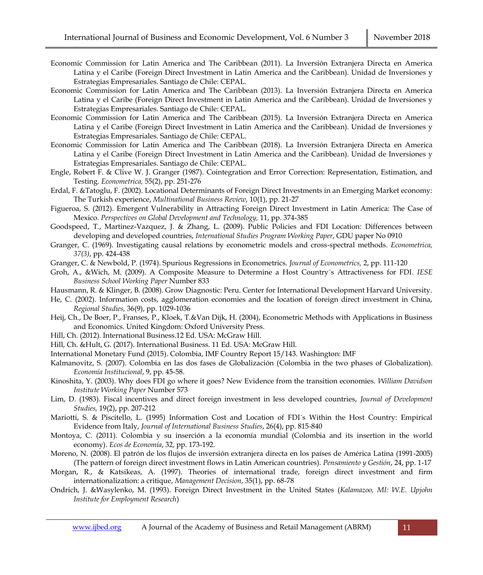- Economic Commission for Latin America and The Caribbean (2011). La Inversión Extranjera Directa en America Latina y el Caribe (Foreign Direct Investment in Latin America and the Caribbean). Unidad de Inversiones y Estrategias Empresariales. Santiago de Chile: CEPAL.
- Economic Commission for Latin America and The Caribbean (2013). La Inversión Extranjera Directa en America Latina y el Caribe (Foreign Direct Investment in Latin America and the Caribbean). Unidad de Inversiones y Estrategias Empresariales. Santiago de Chile: CEPAL.
- Economic Commission for Latin America and The Caribbean (2015). La Inversión Extranjera Directa en America Latina y el Caribe (Foreign Direct Investment in Latin America and the Caribbean). Unidad de Inversiones y Estrategias Empresariales. Santiago de Chile: CEPAL.
- Economic Commission for Latin America and The Caribbean (2018). La Inversión Extranjera Directa en America Latina y el Caribe (Foreign Direct Investment in Latin America and the Caribbean). Unidad de Inversiones y Estrategias Empresariales. Santiago de Chile: CEPAL.
- Engle, Robert F. & Clive W. J. Granger (1987). Cointegration and Error Correction: Representation, Estimation, and Testing. *Econometrica,* 55(2), pp. 251-276
- Erdal, F. &Tatoglu, F. (2002). Locational Determinants of Foreign Direct Investments in an Emerging Market economy: The Turkish experience, *Multinational Business Review,* 10(1), pp. 21-27
- Figueroa, S. (2012). Emergent Vulnerability in Attracting Foreign Direct Investment in Latin America: The Case of Mexico. *Perspectives on Global Development and Technology,* 11, pp. 374-385
- Goodspeed, T., Martinez-Vazquez, J. & Zhang, L. (2009). Public Policies and FDI Location: Differences between developing and developed countries, *International Studies Program Working Paper*, GDU paper No 0910
- Granger, C. (1969). Investigating causal relations by econometric models and cross-spectral methods. *Econometrica, 37(3)*, pp. 424-438
- Granger, C. & Newbold, P. (1974). Spurious Regressions in Econometrics. *Journal of Econometrics,* 2, pp. 111-120
- Groh, A., &Wich, M. (2009). A Composite Measure to Determine a Host Country´s Attractiveness for FDI*. IESE Business School Working Paper* Number 833
- Hausmann, R. & Klinger, B. (2008). Grow Diagnostic: Peru. Center for International Development Harvard University.
- He, C. (2002). Information costs, agglomeration economies and the location of foreign direct investment in China, *Regional Studies,* 36(9), pp. 1029-1036
- Heij, Ch., De Boer, P., Franses, P., Kloek, T.&Van Dijk, H. (2004), Econometric Methods with Applications in Business and Economics. United Kingdom: Oxford University Press.
- Hill, Ch. (2012). International Business.12 Ed. USA: McGraw Hill.
- Hill, Ch. &Hult, G. (2017). International Business. 11 Ed. USA: McGraw Hill.
- International Monetary Fund (2015). Colombia, IMF Country Report 15/143. Washington: IMF
- Kalmanovitz, S. (2007). Colombia en las dos fases de Globalización (Colombia in the two phases of Globalization). *Economía Institucional*, 9, pp. 45-58.
- Kinoshita, Y. (2003). Why does FDI go where it goes? New Evidence from the transition economies. *William Davidson Institute Working Paper* Number 573
- Lim, D. (1983). Fiscal incentives and direct foreign investment in less developed countries, *Journal of Development Studies,* 19(2), pp. 207-212
- Mariotti, S. & Piscitello, L. (1995) Information Cost and Location of FDI´s Within the Host Country: Empirical Evidence from Italy, *Journal of International Business Studies*, 26(4), pp. 815-840
- Montoya, C. (2011). Colombia y su inserción a la economía mundial (Colombia and its insertion in the world economy). *Ecos de Economía*, 32, pp. 173-192.
- Moreno, N. (2008). El patrón de los flujos de inversión extranjera directa en los países de América Latina (1991-2005) (The pattern of foreign direct investment flows in Latin American countries). *Pensamiento y Gestión*, 24, pp. 1-17
- Morgan, R., & Katsikeas, A. (1997). Theories of international trade, foreign direct investment and firm internationalization: a critique, *Management Decision*, 35(1), pp. 68-78
- Ondrich, J. &Wasylenko, M. (1993). Foreign Direct Investment in the United States (*Kalamazoo, MI: W.E. Upjohn Institute for Employment Research*)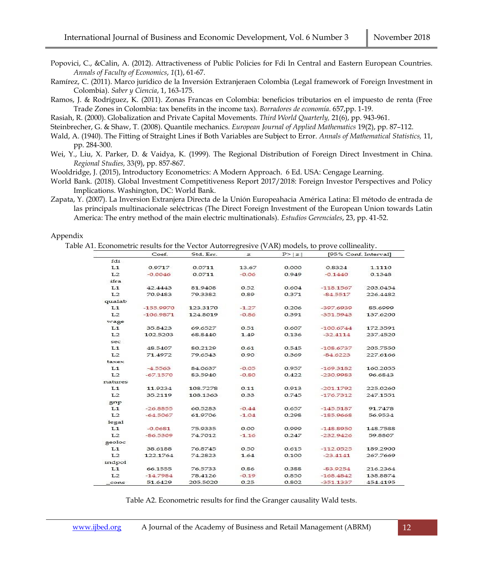Popovici, C., &Calin, A. (2012). Attractiveness of Public Policies for Fdi In Central and Eastern European Countries. *Annals of Faculty of Economics*, *1*(1), 61-67.

- Ramírez, C. (2011). Marco jurídico de la Inversión Extranjeraen Colombia (Legal framework of Foreign Investment in Colombia). *Saber y Ciencia*, 1, 163-175.
- Ramos, J. & Rodríguez, K. (2011). Zonas Francas en Colombia: beneficios tributarios en el impuesto de renta (Free Trade Zones in Colombia: tax benefits in the income tax). *Borradores de economía*. 657,pp. 1-19.

Rasiah, R. (2000). Globalization and Private Capital Movements. *Third World Quarterly,* 21(6), pp. 943-961.

- Steinbrecher, G. & Shaw, T. (2008). Quantile mechanics. *European Journal of Applied Mathematics* 19(2), pp. 87–112.
- Wald, A. (1940). The Fitting of Straight Lines if Both Variables are Subject to Error. *Annals of Mathematical Statistics,* 11, pp. 284-300.
- Wei, Y., Liu, X. Parker, D. & Vaidya, K. (1999). The Regional Distribution of Foreign Direct Investment in China. *Regional Studies,* 33(9), pp. 857-867.

Wooldridge, J. (2015), Introductory Econometrics: A Modern Approach. 6 Ed. USA: Cengage Learning.

- World Bank. (2018). Global Investment Competitiveness Report 2017/2018: Foreign Investor Perspectives and Policy Implications. Washington, DC: World Bank.
- Zapata, Y. (2007). La Inversion Extranjera Directa de la Unión Europeahacia América Latina: El método de entrada de las principals multinacionale seléctricas (The Direct Foreign Investment of the European Union towards Latin America: The entry method of the main electric multinationals). *Estudios Gerenciales*, 23, pp. 41-52.

#### Appendix

Table A1. Econometric results for the Vector Autorregresive (VAR) models, to prove collineality.

|                | Coef.       | Std. Err. | z       | P >  z | [95% Conf. Interval] |          |
|----------------|-------------|-----------|---------|--------|----------------------|----------|
| fdi            |             |           |         |        |                      |          |
| L1             | 0.9717      | 0.0711    | 13.67   | 0.000  | 0.8324               | 1.1110   |
| L <sub>2</sub> | $-0.0046$   | 0.0711    | $-0.06$ | 0.949  | $-0.1440$            | 0.1348   |
| ifra           |             |           |         |        |                      |          |
| L1             | 42.4443     | 81.9408   | 0.52    | 0.604  | $-118.1567$          | 203.0454 |
| L <sub>2</sub> | 70.9483     | 79.3382   | 0.89    | 0.371  | $-84.5517$           | 226,4482 |
| qualab         |             |           |         |        |                      |          |
| L1             | $-155.9970$ | 123,3170  | $-1.27$ | 0.206  | $-397.6939$          | 85,6999  |
| L <sub>2</sub> | $-106.9871$ | 124.8019  | $-0.86$ | 0.391  | $-351.5943$          | 137.6200 |
| wage           |             |           |         |        |                      |          |
| L1             | 35.8423     | 69.6527   | 0.51    | 0.607  | $-100.6744$          | 172,3591 |
| L <sub>2</sub> | 102.5203    | 68.8440   | 1.49    | 0.136  | $-32.4114$           | 237.4520 |
| sec            |             |           |         |        |                      |          |
| L1             | 48.5407     | 80.2129   | 0.61    | 0.545  | $-108.6737$          | 205.7550 |
| L <sub>2</sub> | 71.4972     | 79.6543   | 0.90    | 0.369  | $-84.6223$           | 227.6166 |
| taxex          |             |           |         |        |                      |          |
| L1             | $-4.5563$   | 84.0637   | $-0.05$ | 0.957  | $-169.3182$          | 160.2055 |
| L <sub>2</sub> | $-67.1570$  | 83.5940   | $-0.80$ | 0.422  | $-230.9983$          | 96.6843  |
| natures        |             |           |         |        |                      |          |
| L1             | 11.9234     | 108.7278  | 0.11    | 0.913  | $-201.1792$          | 225.0260 |
| L <sub>2</sub> | 35.2119     | 108.1363  | 0.33    | 0.745  | $-176.7312$          | 247.1551 |
| $_{\rm{gap}}$  |             |           |         |        |                      |          |
| L1             | $-26.8855$  | 60.5283   | $-0.44$ | 0.657  | $-145.5187$          | 91.7478  |
| L2             | $-64.5067$  | 61.9706   | $-1.04$ | 0.298  | $-185.9668$          | 56.9534  |
| legal          |             |           |         |        |                      |          |
| L <sub>1</sub> | $-0.0681$   | 75,9335   | 0.00    | 0.999  | $-148.8950$          | 148.7588 |
| L <sub>2</sub> | $-86.5309$  | 74.7012   | $-1.16$ | 0.247  | $-232.9426$          | 59 8807  |
| geoloc         |             |           |         |        |                      |          |
| L1             | 38.6188     | 76.8745   | 0.50    | 0.615  | $-112.0525$          | 189,2900 |
| L <sub>2</sub> | 122.1764    | 74.2823   | 1.64    | 0.100  | $-23.4141$           | 267.7669 |
| indpol         |             |           |         |        |                      |          |
| L1             | 66.1555     | 76.5733   | 0.86    | 0.388  | $-83.9254$           | 216.2364 |
| L <sub>2</sub> | $-14.7984$  | 78.4126   | $-0.19$ | 0.850  | $-168.4842$          | 138.8874 |
| cons           | 51.6429     | 205.5020  | 0.25    | 0.802  | $-351.1337$          | 454.4195 |

Table A2. Econometric results for find the Granger causality Wald tests.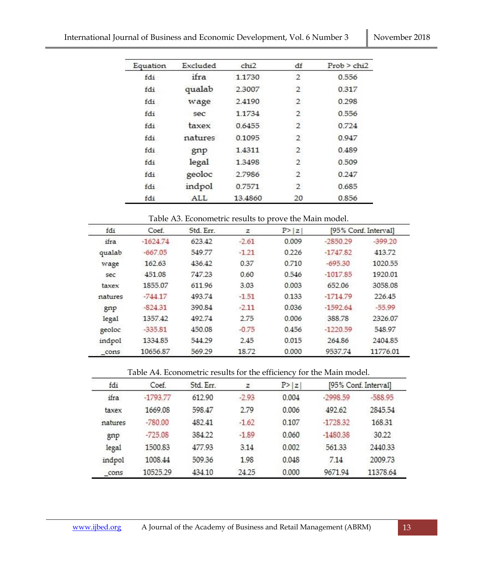| Equation | Excluded | chi2    | df             | Prob > chi2 |
|----------|----------|---------|----------------|-------------|
| fdi      | ifra     | 1.1730  | $\overline{2}$ | 0.556       |
| fdi      | qualab   | 2,3007  | 2              | 0.317       |
| fdi      | wage     | 2.4190  | $\mathbf{2}$   | 0.298       |
| fdi      | sec      | 1.1734  | 2              | 0.556       |
| fdi      | taxex    | 0.6455  | $\overline{2}$ | 0.724       |
| fdi      | natures  | 0.1095  | $\overline{2}$ | 0.947       |
| fdi      | gnp      | 1.4311  | $\mathbf{2}$   | 0.489       |
| fdi      | legal    | 1.3498  | $\overline{2}$ | 0.509       |
| fdi      | geoloc   | 2.7986  | $\overline{2}$ | 0.247       |
| fdi      | indpol   | 0.7571  | 2              | 0.685       |
| fdi      | ALL.     | 13,4860 | 20             | 0.856       |

| fdi     | Coef.      | Std. Err.<br>623.42 | z<br>$-2.61$ | P >  z <br>0.009 | [95% Conf. Interval] |           |
|---------|------------|---------------------|--------------|------------------|----------------------|-----------|
| ifra    | $-1624.74$ |                     |              |                  | -2850.29             | $-399.20$ |
| qualab  | $-667.05$  | 549.77              | $-1.21$      | 0.226            | $-1747.82$           | 413.72    |
| wage    | 162.63     | 436.42              | 0.37         | 0.710            | $-695.30$            | 1020.55   |
| sec     | 451.08     | 747.23              | 0.60         | 0.546            | $-1017.85$           | 1920.01   |
| taxex   | 1855.07    | 611.96              | 3.03         | 0.003            | 652.06               | 3058.08   |
| natures | $-744.17$  | 493.74              | $-1.51$      | 0.133            | $-1714.79$           | 226.45    |
| gnp     | $-82431$   | 390.84              | $-2.11$      | 0.036            | $-1592.64$           | $-55.99$  |
| legal   | 135742     | 492.74              | 2.75         | 0.006            | 388.78               | 2326.07   |
| geoloc  | $-335.81$  | 450.08              | $-0.75$      | 0.456            | $-1220.59$           | 548.97    |
| indpol  | 1334.85    | 544.29              | 2.45         | 0.015            | 264.86               | 2404.85   |
| cons    | 10656.87   | 569.29              | 18.72        | 0.000            | 9537.74              | 11776.01  |

Table A4. Econometric results for the efficiency for the Main model.

| fdi     | Coef.      | Std. Err. | z       | P >  z |            | [95% Conf. Interval] |
|---------|------------|-----------|---------|--------|------------|----------------------|
| ifra    | $-1793.77$ | 612.90    | $-2.93$ | 0.004  | -2998.59   | $-588.95$            |
| taxex   | 1669.08    | 598.47    | 2.79    | 0.006  | 492.62     | 2845.54              |
| natures | $-780.00$  | 482.41    | $-1.62$ | 0.107  | $-1728.32$ | 168.31               |
| gnp     | $-725.08$  | 384.22    | $-1.89$ | 0.060  | $-1480.38$ | 30.22                |
| legal   | 1500.83    | 477.93    | 3.14    | 0.002  | 561.33     | 2440.33              |
| indpol  | 100844     | 509.36    | 1.98    | 0.048  | 7.14       | 2009.73              |
| cons    | 10525.29   | 434 10    | 24.25   | 0.000  | 9671.94    | 11378.64             |